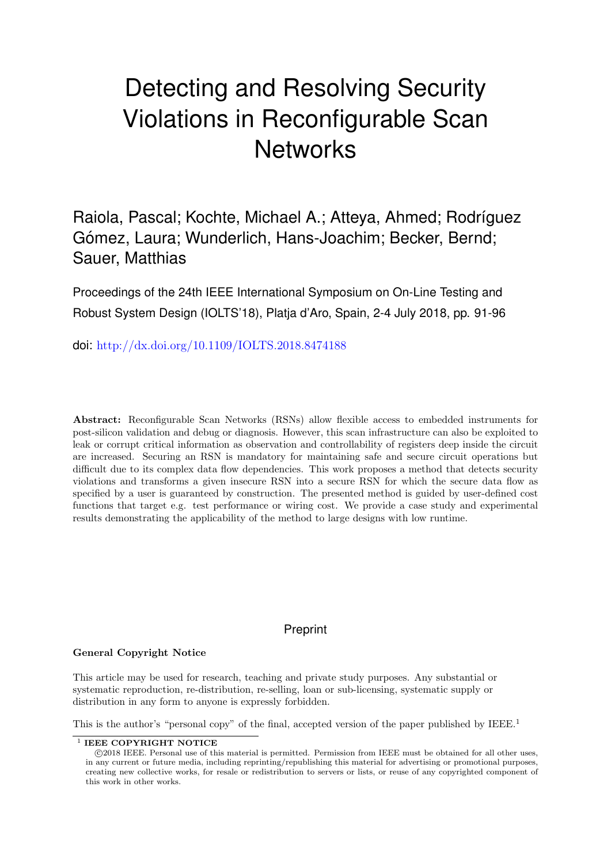# Detecting and Resolving Security Violations in Reconfigurable Scan **Networks**

Raiola, Pascal; Kochte, Michael A.; Atteva, Ahmed; Rodríguez Gómez, Laura; Wunderlich, Hans-Joachim; Becker, Bernd; Sauer, Matthias

Proceedings of the 24th IEEE International Symposium on On-Line Testing and Robust System Design (IOLTS'18), Platja d'Aro, Spain, 2-4 July 2018, pp. 91-96

doi: <http://dx.doi.org/10.1109/IOLTS.2018.8474188>

Abstract: Reconfigurable Scan Networks (RSNs) allow flexible access to embedded instruments for post-silicon validation and debug or diagnosis. However, this scan infrastructure can also be exploited to leak or corrupt critical information as observation and controllability of registers deep inside the circuit are increased. Securing an RSN is mandatory for maintaining safe and secure circuit operations but difficult due to its complex data flow dependencies. This work proposes a method that detects security violations and transforms a given insecure RSN into a secure RSN for which the secure data flow as specified by a user is guaranteed by construction. The presented method is guided by user-defined cost functions that target e.g. test performance or wiring cost. We provide a case study and experimental results demonstrating the applicability of the method to large designs with low runtime.

## Preprint

### General Copyright Notice

This article may be used for research, teaching and private study purposes. Any substantial or systematic reproduction, re-distribution, re-selling, loan or sub-licensing, systematic supply or distribution in any form to anyone is expressly forbidden.

This is the author's "personal copy" of the final, accepted version of the paper published by IEEE.<sup>[1](#page-0-0)</sup>

<span id="page-0-0"></span><sup>&</sup>lt;sup>1</sup> IEEE COPYRIGHT NOTICE

c 2018 IEEE. Personal use of this material is permitted. Permission from IEEE must be obtained for all other uses, in any current or future media, including reprinting/republishing this material for advertising or promotional purposes, creating new collective works, for resale or redistribution to servers or lists, or reuse of any copyrighted component of this work in other works.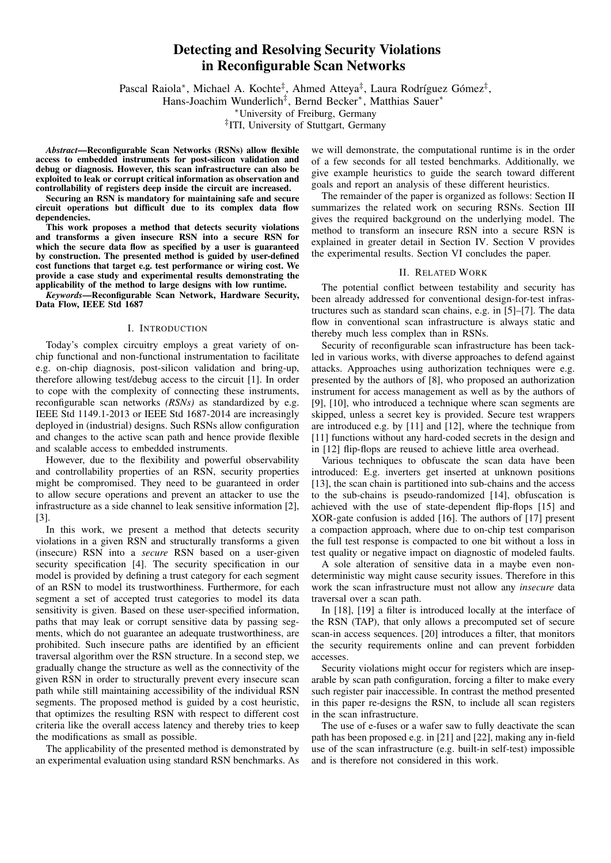## Detecting and Resolving Security Violations in Reconfigurable Scan Networks

Pascal Raiola<sup>\*</sup>, Michael A. Kochte<sup>‡</sup>, Ahmed Atteya<sup>‡</sup>, Laura Rodríguez Gómez<sup>‡</sup>,

Hans-Joachim Wunderlich<sup>‡</sup>, Bernd Becker<sup>\*</sup>, Matthias Sauer<sup>\*</sup>

<sup>∗</sup>University of Freiburg, Germany

‡ ITI, University of Stuttgart, Germany

*Abstract*—Reconfigurable Scan Networks (RSNs) allow flexible access to embedded instruments for post-silicon validation and debug or diagnosis. However, this scan infrastructure can also be exploited to leak or corrupt critical information as observation and controllability of registers deep inside the circuit are increased.

Securing an RSN is mandatory for maintaining safe and secure circuit operations but difficult due to its complex data flow dependencies.

This work proposes a method that detects security violations and transforms a given insecure RSN into a secure RSN for which the secure data flow as specified by a user is guaranteed by construction. The presented method is guided by user-defined cost functions that target e.g. test performance or wiring cost. We provide a case study and experimental results demonstrating the applicability of the method to large designs with low runtime.

*Keywords*—Reconfigurable Scan Network, Hardware Security, Data Flow, IEEE Std 1687

#### I. INTRODUCTION

Today's complex circuitry employs a great variety of onchip functional and non-functional instrumentation to facilitate e.g. on-chip diagnosis, post-silicon validation and bring-up, therefore allowing test/debug access to the circuit [1]. In order to cope with the complexity of connecting these instruments, reconfigurable scan networks *(RSNs)* as standardized by e.g. IEEE Std 1149.1-2013 or IEEE Std 1687-2014 are increasingly deployed in (industrial) designs. Such RSNs allow configuration and changes to the active scan path and hence provide flexible and scalable access to embedded instruments.

However, due to the flexibility and powerful observability and controllability properties of an RSN, security properties might be compromised. They need to be guaranteed in order to allow secure operations and prevent an attacker to use the infrastructure as a side channel to leak sensitive information [2], [3].

In this work, we present a method that detects security violations in a given RSN and structurally transforms a given (insecure) RSN into a *secure* RSN based on a user-given security specification [4]. The security specification in our model is provided by defining a trust category for each segment of an RSN to model its trustworthiness. Furthermore, for each segment a set of accepted trust categories to model its data sensitivity is given. Based on these user-specified information, paths that may leak or corrupt sensitive data by passing segments, which do not guarantee an adequate trustworthiness, are prohibited. Such insecure paths are identified by an efficient traversal algorithm over the RSN structure. In a second step, we gradually change the structure as well as the connectivity of the given RSN in order to structurally prevent every insecure scan path while still maintaining accessibility of the individual RSN segments. The proposed method is guided by a cost heuristic, that optimizes the resulting RSN with respect to different cost criteria like the overall access latency and thereby tries to keep the modifications as small as possible.

The applicability of the presented method is demonstrated by an experimental evaluation using standard RSN benchmarks. As

we will demonstrate, the computational runtime is in the order of a few seconds for all tested benchmarks. Additionally, we give example heuristics to guide the search toward different goals and report an analysis of these different heuristics.

The remainder of the paper is organized as follows: Section II summarizes the related work on securing RSNs. Section III gives the required background on the underlying model. The method to transform an insecure RSN into a secure RSN is explained in greater detail in Section IV. Section V provides the experimental results. Section VI concludes the paper.

#### II. RELATED WORK

The potential conflict between testability and security has been already addressed for conventional design-for-test infrastructures such as standard scan chains, e.g. in [5]–[7]. The data flow in conventional scan infrastructure is always static and thereby much less complex than in RSNs.

Security of reconfigurable scan infrastructure has been tackled in various works, with diverse approaches to defend against attacks. Approaches using authorization techniques were e.g. presented by the authors of [8], who proposed an authorization instrument for access management as well as by the authors of [9], [10], who introduced a technique where scan segments are skipped, unless a secret key is provided. Secure test wrappers are introduced e.g. by [11] and [12], where the technique from [11] functions without any hard-coded secrets in the design and in [12] flip-flops are reused to achieve little area overhead.

Various techniques to obfuscate the scan data have been introduced: E.g. inverters get inserted at unknown positions [13], the scan chain is partitioned into sub-chains and the access to the sub-chains is pseudo-randomized [14], obfuscation is achieved with the use of state-dependent flip-flops [15] and XOR-gate confusion is added [16]. The authors of [17] present a compaction approach, where due to on-chip test comparison the full test response is compacted to one bit without a loss in test quality or negative impact on diagnostic of modeled faults.

A sole alteration of sensitive data in a maybe even nondeterministic way might cause security issues. Therefore in this work the scan infrastructure must not allow any *insecure* data traversal over a scan path.

In [18], [19] a filter is introduced locally at the interface of the RSN (TAP), that only allows a precomputed set of secure scan-in access sequences. [20] introduces a filter, that monitors the security requirements online and can prevent forbidden accesses.

Security violations might occur for registers which are inseparable by scan path configuration, forcing a filter to make every such register pair inaccessible. In contrast the method presented in this paper re-designs the RSN, to include all scan registers in the scan infrastructure.

The use of e-fuses or a wafer saw to fully deactivate the scan path has been proposed e.g. in [21] and [22], making any in-field use of the scan infrastructure (e.g. built-in self-test) impossible and is therefore not considered in this work.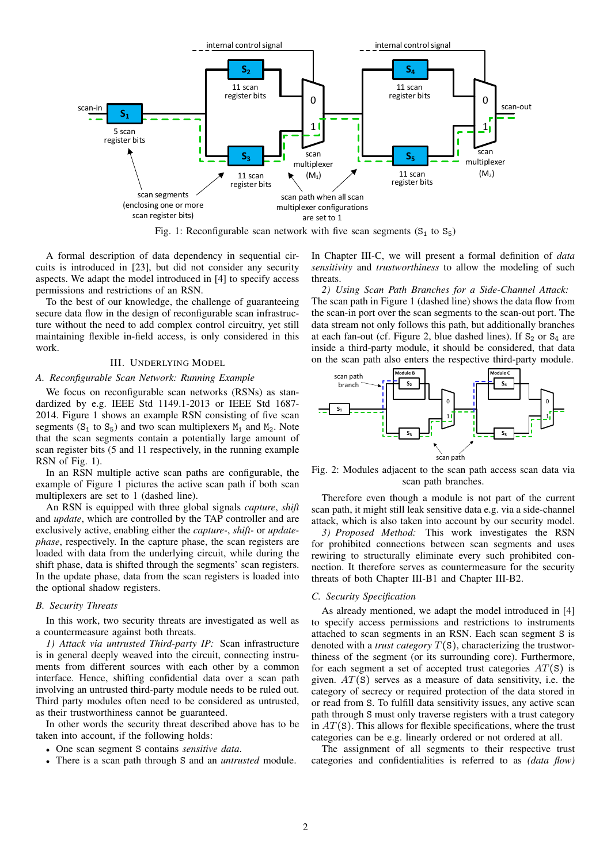

Fig. 1: Reconfigurable scan network with five scan segments  $(S_1 \text{ to } S_5)$ 

A formal description of data dependency in sequential circuits is introduced in [23], but did not consider any security aspects. We adapt the model introduced in [4] to specify access permissions and restrictions of an RSN.

To the best of our knowledge, the challenge of guaranteeing secure data flow in the design of reconfigurable scan infrastructure without the need to add complex control circuitry, yet still maintaining flexible in-field access, is only considered in this work.

#### III. UNDERLYING MODEL

#### *A. Reconfigurable Scan Network: Running Example*

We focus on reconfigurable scan networks (RSNs) as standardized by e.g. IEEE Std 1149.1-2013 or IEEE Std 1687- 2014. Figure 1 shows an example RSN consisting of five scan segments ( $S_1$  to  $S_5$ ) and two scan multiplexers  $M_1$  and  $M_2$ . Note that the scan segments contain a potentially large amount of scan register bits (5 and 11 respectively, in the running example RSN of Fig. 1).

In an RSN multiple active scan paths are configurable, the example of Figure 1 pictures the active scan path if both scan multiplexers are set to 1 (dashed line).

An RSN is equipped with three global signals *capture*, *shift* and *update*, which are controlled by the TAP controller and are exclusively active, enabling either the *capture-*, *shift-* or *updatephase*, respectively. In the capture phase, the scan registers are loaded with data from the underlying circuit, while during the shift phase, data is shifted through the segments' scan registers. In the update phase, data from the scan registers is loaded into the optional shadow registers.

#### *B. Security Threats*

In this work, two security threats are investigated as well as a countermeasure against both threats.

*1) Attack via untrusted Third-party IP:* Scan infrastructure is in general deeply weaved into the circuit, connecting instruments from different sources with each other by a common interface. Hence, shifting confidential data over a scan path involving an untrusted third-party module needs to be ruled out. Third party modules often need to be considered as untrusted, as their trustworthiness cannot be guaranteed.

In other words the security threat described above has to be taken into account, if the following holds:

- One scan segment S contains *sensitive data*.
- There is a scan path through S and an *untrusted* module.

In Chapter III-C, we will present a formal definition of *data sensitivity* and *trustworthiness* to allow the modeling of such threats.

*2) Using Scan Path Branches for a Side-Channel Attack:* The scan path in Figure 1 (dashed line) shows the data flow from the scan-in port over the scan segments to the scan-out port. The data stream not only follows this path, but additionally branches at each fan-out (cf. Figure 2, blue dashed lines). If  $S_2$  or  $S_4$  are inside a third-party module, it should be considered, that data on the scan path also enters the respective third-party module.



Fig. 2: Modules adjacent to the scan path access scan data via scan path branches.

Therefore even though a module is not part of the current scan path, it might still leak sensitive data e.g. via a side-channel attack, which is also taken into account by our security model.

*3) Proposed Method:* This work investigates the RSN for prohibited connections between scan segments and uses rewiring to structurally eliminate every such prohibited connection. It therefore serves as countermeasure for the security threats of both Chapter III-B1 and Chapter III-B2.

#### *C. Security Specification*

As already mentioned, we adapt the model introduced in [4] to specify access permissions and restrictions to instruments attached to scan segments in an RSN. Each scan segment S is denoted with a *trust category* T(S), characterizing the trustworthiness of the segment (or its surrounding core). Furthermore, for each segment a set of accepted trust categories  $AT(S)$  is given.  $AT(S)$  serves as a measure of data sensitivity, i.e. the category of secrecy or required protection of the data stored in or read from S. To fulfill data sensitivity issues, any active scan path through S must only traverse registers with a trust category in  $AT(S)$ . This allows for flexible specifications, where the trust categories can be e.g. linearly ordered or not ordered at all.

The assignment of all segments to their respective trust categories and confidentialities is referred to as *(data flow)*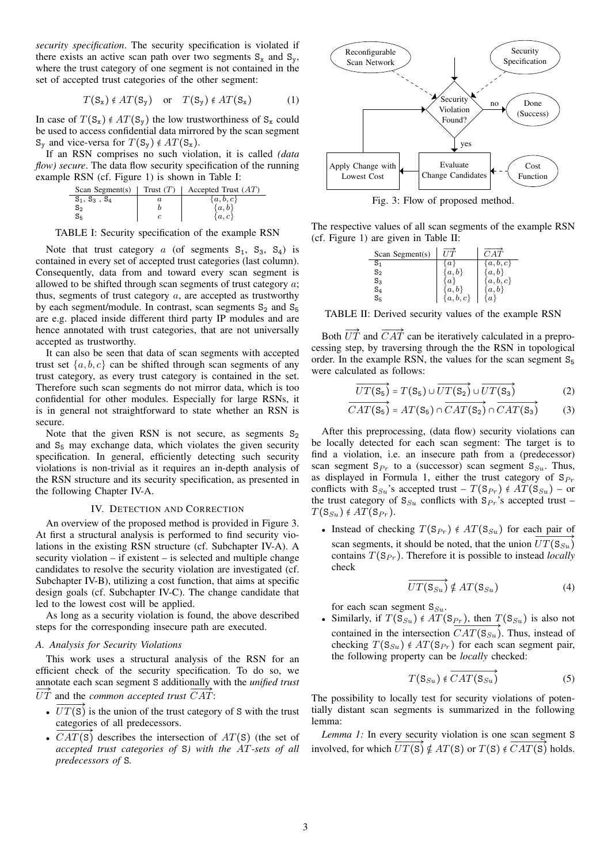*security specification*. The security specification is violated if there exists an active scan path over two segments  $S_x$  and  $S_y$ , where the trust category of one segment is not contained in the set of accepted trust categories of the other segment:

$$
T(S_x) \notin AT(S_y)
$$
 or  $T(S_y) \notin AT(S_x)$  (1)

In case of  $T(S_x) \notin AT(S_y)$  the low trustworthiness of  $S_x$  could be used to access confidential data mirrored by the scan segment  $S_y$  and vice-versa for  $T(S_y) \notin AT(S_x)$ .

If an RSN comprises no such violation, it is called *(data flow) secure*. The data flow security specification of the running example RSN (cf. Figure 1) is shown in Table I:

| Scan Segment(s) | Trust $(T)$ | Accepted Trust $(AT)$ |
|-----------------|-------------|-----------------------|
| $S_1, S_3, S_4$ |             | $\{a,b,c\}$           |
| $S_2$           |             | $\{a,b\}$             |
| $S_{5}$         |             | $\{a,c\}$             |

TABLE I: Security specification of the example RSN

Note that trust category a (of segments  $S_1$ ,  $S_3$ ,  $S_4$ ) is contained in every set of accepted trust categories (last column). Consequently, data from and toward every scan segment is allowed to be shifted through scan segments of trust category a; thus, segments of trust category  $a$ , are accepted as trustworthy by each segment/module. In contrast, scan segments  $S_2$  and  $S_5$ are e.g. placed inside different third party IP modules and are hence annotated with trust categories, that are not universally accepted as trustworthy.

It can also be seen that data of scan segments with accepted trust set  $\{a, b, c\}$  can be shifted through scan segments of any trust category, as every trust category is contained in the set. Therefore such scan segments do not mirror data, which is too confidential for other modules. Especially for large RSNs, it is in general not straightforward to state whether an RSN is secure.

Note that the given RSN is not secure, as segments  $S_2$ and  $S<sub>5</sub>$  may exchange data, which violates the given security specification. In general, efficiently detecting such security violations is non-trivial as it requires an in-depth analysis of the RSN structure and its security specification, as presented in the following Chapter IV-A.

#### IV. DETECTION AND CORRECTION

An overview of the proposed method is provided in Figure 3. At first a structural analysis is performed to find security violations in the existing RSN structure (cf. Subchapter IV-A). A security violation  $-$  if existent  $-$  is selected and multiple change candidates to resolve the security violation are investigated (cf. Subchapter IV-B), utilizing a cost function, that aims at specific design goals (cf. Subchapter IV-C). The change candidate that led to the lowest cost will be applied.

As long as a security violation is found, the above described steps for the corresponding insecure path are executed.

#### *A. Analysis for Security Violations*

This work uses a structural analysis of the RSN for an efficient check of the security specification. To do so, we annotate each scan segment S additionally with the *unified trust*  $\overrightarrow{UT}$  and the *common accepted trust*  $\overrightarrow{CAT}$ :

- $\overrightarrow{UT(S)}$  is the union of the trust category of S with the trust
	- categories of all predecessors. •  $\overline{CAT(S)}$  describes the intersection of  $AT(S)$  (the set of *accepted trust categories of* S*) with the* AT*-sets of all predecessors of* S*.*



Fig. 3: Flow of proposed method.

The respective values of all scan segments of the example RSN (cf. Figure 1) are given in Table II:

| Scan Segment(s)  |                  | $_{CAT}$    |
|------------------|------------------|-------------|
| S <sub>1</sub>   | $\boldsymbol{a}$ | a, b, c     |
| $S_2$            | a.               | [a, b]      |
| $S_3$            | a <sub>1</sub>   | $\{a,b,c\}$ |
| $\mathrm{S}_4$   | $\{a,b\}$        | a,b         |
| $\mathtt{S}_{5}$ | $\{a,b,c\}$      | a ¦         |

TABLE II: Derived security values of the example RSN

Both  $\overrightarrow{UT}$  and  $\overrightarrow{CAT}$  can be iteratively calculated in a preprocessing step, by traversing through the the RSN in topological order. In the example RSN, the values for the scan segment  $S_5$ were calculated as follows:

$$
\overrightarrow{UT(S_5)} = T(S_5) \cup \overrightarrow{UT(S_2)} \cup \overrightarrow{UT(S_3)}
$$
 (2)

$$
\overrightarrow{CAT(S_5)} = AT(S_5) \cap \overrightarrow{CAT(S_2)} \cap \overrightarrow{CAT(S_3)}
$$
 (3)

After this preprocessing, (data flow) security violations can be locally detected for each scan segment: The target is to find a violation, i.e. an insecure path from a (predecessor) scan segment  $S_{Pr}$  to a (successor) scan segment  $S_{Su}$ . Thus, as displayed in Formula 1, either the trust category of  $S_{Pr}$ conflicts with  $S_{Su}$ 's accepted trust –  $T(S_{Pr}) \notin AT(S_{Su})$  – or the trust category of  $S_{Su}$  conflicts with  $S_{Pr}$ 's accepted trust –  $T(S_{Su}) \notin AT(S_{Pr}).$ 

• Instead of checking  $T(S_{Pr}) \notin AT(S_{S_u})$  for each pair of scan segments, it should be noted, that the union  $UT(S_{\mathcal{S}_u})$ contains  $T(\mathbf{S}_{Pr})$ . Therefore it is possible to instead *locally* check

$$
\overrightarrow{UT(\mathbf{S}_{Su})} \notin AT(\mathbf{S}_{Su})
$$
\n(4)

for each scan segment  $S_{S_u}$ .

• Similarly, if  $T(S_{Su}) \notin AT(S_{Pr})$ , then  $T(S_{Su})$  is also not contained in the intersection  $CAT(S_{Su})$ . Thus, instead of checking  $T(S_{S_u}) \notin AT(S_{Pr})$  for each scan segment pair, the following property can be *locally* checked:

$$
T(S_{Su}) \notin \overrightarrow{CAT(S_{Su})}
$$
 (5)

The possibility to locally test for security violations of potentially distant scan segments is summarized in the following lemma:

*Lemma 1:* In every security violation is one scan segment S involved, for which  $\overline{UT(S)} \notin AT(S)$  or  $T(S) \notin \overline{CAT(S)}$  holds.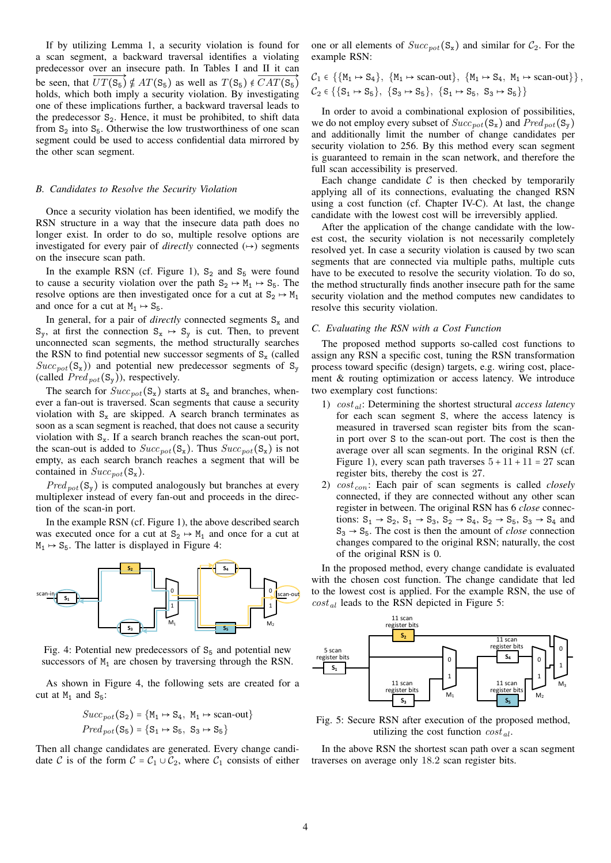If by utilizing Lemma 1, a security violation is found for a scan segment, a backward traversal identifies a violating predecessor over an insecure path. In Tables I and II it can be seen, that  $UT(S_5) \notin AT(S_5)$  as well as  $T(S_5) \notin CAT(S_5)$ holds, which both imply a security violation. By investigating one of these implications further, a backward traversal leads to the predecessor  $S_2$ . Hence, it must be prohibited, to shift data from  $S_2$  into  $S_5$ . Otherwise the low trustworthiness of one scan segment could be used to access confidential data mirrored by the other scan segment.

#### *B. Candidates to Resolve the Security Violation*

Once a security violation has been identified, we modify the RSN structure in a way that the insecure data path does no longer exist. In order to do so, multiple resolve options are investigated for every pair of *directly* connected  $(\rightarrow)$  segments on the insecure scan path.

In the example RSN (cf. Figure 1),  $S_2$  and  $S_5$  were found to cause a security violation over the path  $S_2 \rightarrow M_1 \rightarrow S_5$ . The resolve options are then investigated once for a cut at  $S_2 \mapsto M_1$ and once for a cut at  $M_1 \rightarrow S_5$ .

In general, for a pair of *directly* connected segments  $S_x$  and  $S_{y}$ , at first the connection  $S_{x} \rightarrow S_{y}$  is cut. Then, to prevent unconnected scan segments, the method structurally searches the RSN to find potential new successor segments of  $S_x$  (called  $Succ_{pot}(S_x)$  and potential new predecessor segments of  $S_y$ (called  $Pred_{pot}(S_v)$ ), respectively.

The search for  $Succ_{pot}(S_x)$  starts at  $S_x$  and branches, whenever a fan-out is traversed. Scan segments that cause a security violation with  $S_x$  are skipped. A search branch terminates as soon as a scan segment is reached, that does not cause a security violation with  $S_x$ . If a search branch reaches the scan-out port, the scan-out is added to  $Succ_{pot}(S_x)$ . Thus  $Succ_{pot}(S_x)$  is not empty, as each search branch reaches a segment that will be contained in  $Succ_{pot}(S_x)$ .

 $Pred_{pot}(S_v)$  is computed analogously but branches at every multiplexer instead of every fan-out and proceeds in the direction of the scan-in port.

In the example RSN (cf. Figure 1), the above described search was executed once for a cut at  $S_2 \rightarrow M_1$  and once for a cut at  $M_1 \rightarrow S_5$ . The latter is displayed in Figure 4:



Fig. 4: Potential new predecessors of  $S<sub>5</sub>$  and potential new successors of  $M_1$  are chosen by traversing through the RSN.

As shown in Figure 4, the following sets are created for a cut at  $M_1$  and  $S_5$ :

$$
Succ_{pot}(S_2) = \{M_1 \mapsto S_4, M_1 \mapsto scan-out\}
$$
  

$$
Pred_{pot}(S_5) = \{S_1 \mapsto S_5, S_3 \mapsto S_5\}
$$

Then all change candidates are generated. Every change candidate C is of the form  $C = C_1 \cup C_2$ , where  $C_1$  consists of either one or all elements of  $Succ_{pot}(S_x)$  and similar for  $C_2$ . For the example RSN:

 $C_1 \in \{ \{M_1 \mapsto S_4\}, \{M_1 \mapsto scan-out\}, \{M_1 \mapsto S_4, M_1 \mapsto scan-out\} \}$  $\mathcal{C}_2 \in \{ \{S_1 \mapsto S_5\}, \{S_3 \mapsto S_5\}, \{S_1 \mapsto S_5, S_3 \mapsto S_5\} \}$ 

In order to avoid a combinational explosion of possibilities, we do not employ every subset of  $Succ_{pot}(S_x)$  and  $Pred_{pot}(S_y)$ and additionally limit the number of change candidates per security violation to 256. By this method every scan segment is guaranteed to remain in the scan network, and therefore the full scan accessibility is preserved.

Each change candidate  $\mathcal C$  is then checked by temporarily applying all of its connections, evaluating the changed RSN using a cost function (cf. Chapter IV-C). At last, the change candidate with the lowest cost will be irreversibly applied.

After the application of the change candidate with the lowest cost, the security violation is not necessarily completely resolved yet. In case a security violation is caused by two scan segments that are connected via multiple paths, multiple cuts have to be executed to resolve the security violation. To do so, the method structurally finds another insecure path for the same security violation and the method computes new candidates to resolve this security violation.

#### *C. Evaluating the RSN with a Cost Function*

The proposed method supports so-called cost functions to assign any RSN a specific cost, tuning the RSN transformation process toward specific (design) targets, e.g. wiring cost, placement & routing optimization or access latency. We introduce two exemplary cost functions:

- 1)  $cost_{al}$ : Determining the shortest structural *access latency* for each scan segment S, where the access latency is measured in traversed scan register bits from the scanin port over S to the scan-out port. The cost is then the average over all scan segments. In the original RSN (cf. Figure 1), every scan path traverses  $5 + 11 + 11 = 27$  scan register bits, thereby the cost is 27.
- 2)  $cost_{con}$ : Each pair of scan segments is called *closely* connected, if they are connected without any other scan register in between. The original RSN has 6 *close* connections:  $S_1 \rightarrow S_2$ ,  $S_1 \rightarrow S_3$ ,  $S_2 \rightarrow S_4$ ,  $S_2 \rightarrow S_5$ ,  $S_3 \rightarrow S_4$  and  $S_3 \rightarrow S_5$ . The cost is then the amount of *close* connection changes compared to the original RSN; naturally, the cost of the original RSN is 0.

In the proposed method, every change candidate is evaluated with the chosen cost function. The change candidate that led to the lowest cost is applied. For the example RSN, the use of  $cost_{al}$  leads to the RSN depicted in Figure 5:



Fig. 5: Secure RSN after execution of the proposed method, utilizing the cost function  $cost_{al}$ .

In the above RSN the shortest scan path over a scan segment traverses on average only 18.2 scan register bits.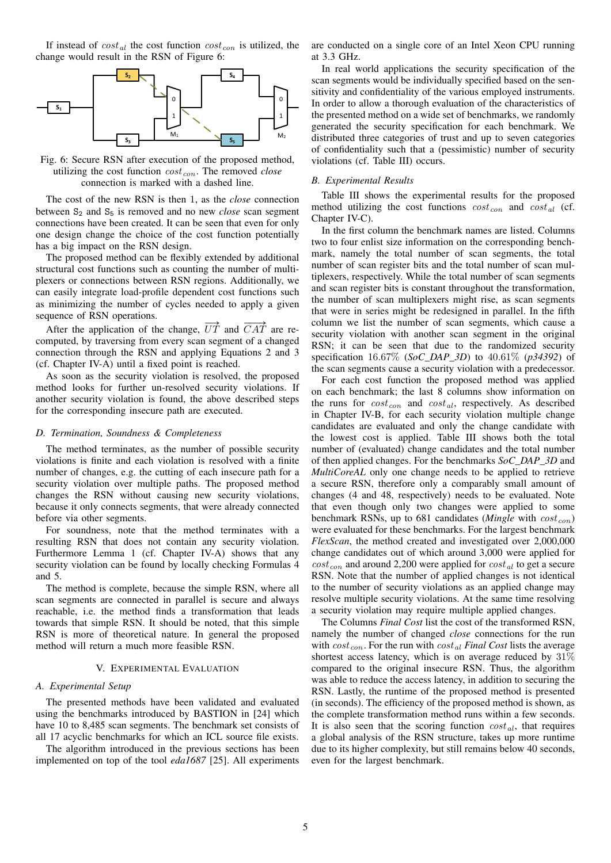If instead of  $cost_{al}$  the cost function  $cost_{con}$  is utilized, the change would result in the RSN of Figure 6:



Fig. 6: Secure RSN after execution of the proposed method, utilizing the cost function  $cost_{con}$ . The removed *close* connection is marked with a dashed line.

The cost of the new RSN is then 1, as the *close* connection between S<sub>2</sub> and S<sub>5</sub> is removed and no new *close* scan segment connections have been created. It can be seen that even for only one design change the choice of the cost function potentially has a big impact on the RSN design.

The proposed method can be flexibly extended by additional structural cost functions such as counting the number of multiplexers or connections between RSN regions. Additionally, we can easily integrate load-profile dependent cost functions such as minimizing the number of cycles needed to apply a given sequence of RSN operations.

After the application of the change,  $\overrightarrow{UT}$  and  $\overrightarrow{CAT}$  are recomputed, by traversing from every scan segment of a changed connection through the RSN and applying Equations 2 and 3 (cf. Chapter IV-A) until a fixed point is reached.

As soon as the security violation is resolved, the proposed method looks for further un-resolved security violations. If another security violation is found, the above described steps for the corresponding insecure path are executed.

#### *D. Termination, Soundness & Completeness*

The method terminates, as the number of possible security violations is finite and each violation is resolved with a finite number of changes, e.g. the cutting of each insecure path for a security violation over multiple paths. The proposed method changes the RSN without causing new security violations, because it only connects segments, that were already connected before via other segments.

For soundness, note that the method terminates with a resulting RSN that does not contain any security violation. Furthermore Lemma 1 (cf. Chapter IV-A) shows that any security violation can be found by locally checking Formulas 4 and 5.

The method is complete, because the simple RSN, where all scan segments are connected in parallel is secure and always reachable, i.e. the method finds a transformation that leads towards that simple RSN. It should be noted, that this simple RSN is more of theoretical nature. In general the proposed method will return a much more feasible RSN.

#### V. EXPERIMENTAL EVALUATION

#### *A. Experimental Setup*

The presented methods have been validated and evaluated using the benchmarks introduced by BASTION in [24] which have 10 to 8,485 scan segments. The benchmark set consists of all 17 acyclic benchmarks for which an ICL source file exists.

The algorithm introduced in the previous sections has been implemented on top of the tool *eda1687* [25]. All experiments are conducted on a single core of an Intel Xeon CPU running at 3.3 GHz.

In real world applications the security specification of the scan segments would be individually specified based on the sensitivity and confidentiality of the various employed instruments. In order to allow a thorough evaluation of the characteristics of the presented method on a wide set of benchmarks, we randomly generated the security specification for each benchmark. We distributed three categories of trust and up to seven categories of confidentiality such that a (pessimistic) number of security violations (cf. Table III) occurs.

#### *B. Experimental Results*

Table III shows the experimental results for the proposed method utilizing the cost functions  $cost_{con}$  and  $cost_{al}$  (cf. Chapter IV-C).

In the first column the benchmark names are listed. Columns two to four enlist size information on the corresponding benchmark, namely the total number of scan segments, the total number of scan register bits and the total number of scan multiplexers, respectively. While the total number of scan segments and scan register bits is constant throughout the transformation, the number of scan multiplexers might rise, as scan segments that were in series might be redesigned in parallel. In the fifth column we list the number of scan segments, which cause a security violation with another scan segment in the original RSN; it can be seen that due to the randomized security specification 16.67% (*SoC\_DAP\_3D*) to 40.61% (*p34392*) of the scan segments cause a security violation with a predecessor.

For each cost function the proposed method was applied on each benchmark; the last 8 columns show information on the runs for  $cost_{con}$  and  $cost_{al}$ , respectively. As described in Chapter IV-B, for each security violation multiple change candidates are evaluated and only the change candidate with the lowest cost is applied. Table III shows both the total number of (evaluated) change candidates and the total number of then applied changes. For the benchmarks *SoC\_DAP\_3D* and *MultiCoreAL* only one change needs to be applied to retrieve a secure RSN, therefore only a comparably small amount of changes (4 and 48, respectively) needs to be evaluated. Note that even though only two changes were applied to some benchmark RSNs, up to 681 candidates (*Mingle* with  $cost_{con}$ ) were evaluated for these benchmarks. For the largest benchmark *FlexScan*, the method created and investigated over 2,000,000 change candidates out of which around 3,000 were applied for  $cost_{con}$  and around 2,200 were applied for  $cost_{al}$  to get a secure RSN. Note that the number of applied changes is not identical to the number of security violations as an applied change may resolve multiple security violations. At the same time resolving a security violation may require multiple applied changes.

The Columns *Final Cost* list the cost of the transformed RSN, namely the number of changed *close* connections for the run with  $cost_{con}$ . For the run with  $cost_{al}$  *Final Cost* lists the average shortest access latency, which is on average reduced by 31% compared to the original insecure RSN. Thus, the algorithm was able to reduce the access latency, in addition to securing the RSN. Lastly, the runtime of the proposed method is presented (in seconds). The efficiency of the proposed method is shown, as the complete transformation method runs within a few seconds. It is also seen that the scoring function  $cost_{al}$ , that requires a global analysis of the RSN structure, takes up more runtime due to its higher complexity, but still remains below 40 seconds, even for the largest benchmark.